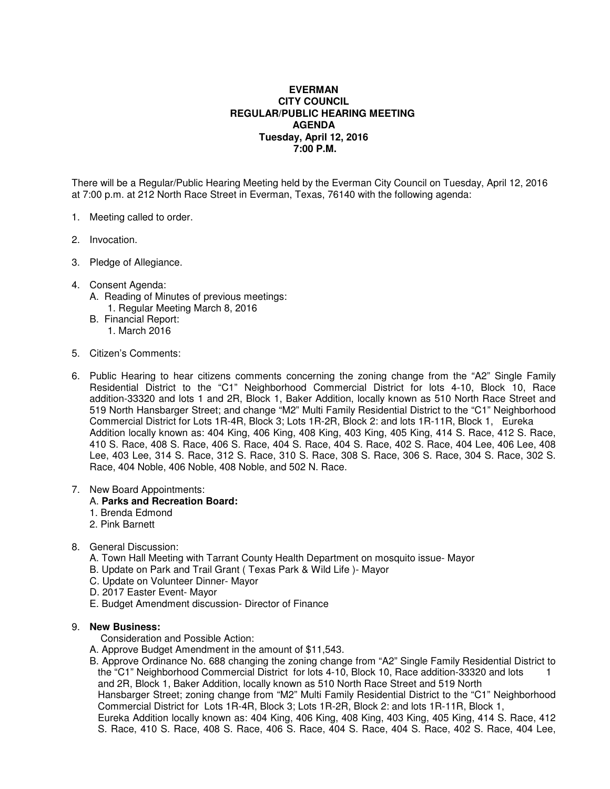# **EVERMAN CITY COUNCIL REGULAR/PUBLIC HEARING MEETING AGENDA Tuesday, April 12, 2016 7:00 P.M.**

There will be a Regular/Public Hearing Meeting held by the Everman City Council on Tuesday, April 12, 2016 at 7:00 p.m. at 212 North Race Street in Everman, Texas, 76140 with the following agenda:

- 1. Meeting called to order.
- 2. Invocation.
- 3. Pledge of Allegiance.
- 4. Consent Agenda:
	- A. Reading of Minutes of previous meetings: 1. Regular Meeting March 8, 2016
	- B. Financial Report: 1. March 2016
- 5. Citizen's Comments:
- 6. Public Hearing to hear citizens comments concerning the zoning change from the "A2" Single Family Residential District to the "C1" Neighborhood Commercial District for lots 4-10, Block 10, Race addition-33320 and lots 1 and 2R, Block 1, Baker Addition, locally known as 510 North Race Street and 519 North Hansbarger Street; and change "M2" Multi Family Residential District to the "C1" Neighborhood Commercial District for Lots 1R-4R, Block 3; Lots 1R-2R, Block 2: and lots 1R-11R, Block 1, Eureka Addition locally known as: 404 King, 406 King, 408 King, 403 King, 405 King, 414 S. Race, 412 S. Race, 410 S. Race, 408 S. Race, 406 S. Race, 404 S. Race, 404 S. Race, 402 S. Race, 404 Lee, 406 Lee, 408 Lee, 403 Lee, 314 S. Race, 312 S. Race, 310 S. Race, 308 S. Race, 306 S. Race, 304 S. Race, 302 S. Race, 404 Noble, 406 Noble, 408 Noble, and 502 N. Race.

#### 7. New Board Appointments:

### A. **Parks and Recreation Board:**

- 1. Brenda Edmond
- 2. Pink Barnett

### 8. General Discussion:

- A. Town Hall Meeting with Tarrant County Health Department on mosquito issue- Mayor
- B. Update on Park and Trail Grant ( Texas Park & Wild Life )- Mayor
- C. Update on Volunteer Dinner- Mayor
- D. 2017 Easter Event- Mayor
- E. Budget Amendment discussion- Director of Finance

## 9. **New Business:**

- Consideration and Possible Action:
- A. Approve Budget Amendment in the amount of \$11,543.
- B. Approve Ordinance No. 688 changing the zoning change from "A2" Single Family Residential District to the "C1" Neighborhood Commercial District for lots 4-10, Block 10, Race addition-33320 and lots 1 and 2R, Block 1, Baker Addition, locally known as 510 North Race Street and 519 North Hansbarger Street; zoning change from "M2" Multi Family Residential District to the "C1" Neighborhood Commercial District for Lots 1R-4R, Block 3; Lots 1R-2R, Block 2: and lots 1R-11R, Block 1, Eureka Addition locally known as: 404 King, 406 King, 408 King, 403 King, 405 King, 414 S. Race, 412 S. Race, 410 S. Race, 408 S. Race, 406 S. Race, 404 S. Race, 404 S. Race, 402 S. Race, 404 Lee,